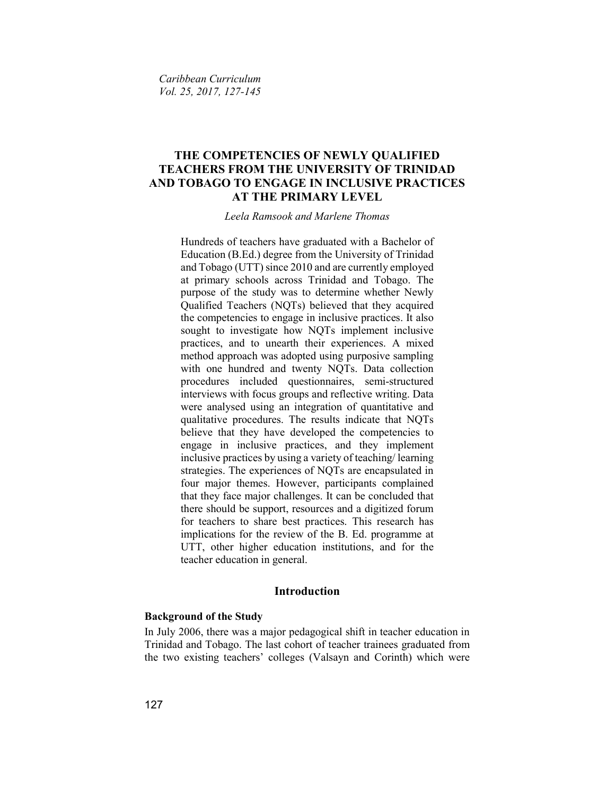Caribbean Curriculum Vol. 25, 2017, 127-145

# THE COMPETENCIES OF NEWLY QUALIFIED TEACHERS FROM THE UNIVERSITY OF TRINIDAD AND TOBAGO TO ENGAGE IN INCLUSIVE PRACTICES AT THE PRIMARY LEVEL

Leela Ramsook and Marlene Thomas

Hundreds of teachers have graduated with a Bachelor of Education (B.Ed.) degree from the University of Trinidad and Tobago (UTT) since 2010 and are currently employed at primary schools across Trinidad and Tobago. The purpose of the study was to determine whether Newly Qualified Teachers (NQTs) believed that they acquired the competencies to engage in inclusive practices. It also sought to investigate how NQTs implement inclusive practices, and to unearth their experiences. A mixed method approach was adopted using purposive sampling with one hundred and twenty NQTs. Data collection procedures included questionnaires, semi-structured interviews with focus groups and reflective writing. Data were analysed using an integration of quantitative and qualitative procedures. The results indicate that NQTs believe that they have developed the competencies to engage in inclusive practices, and they implement inclusive practices by using a variety of teaching/ learning strategies. The experiences of NQTs are encapsulated in four major themes. However, participants complained that they face major challenges. It can be concluded that there should be support, resources and a digitized forum for teachers to share best practices. This research has implications for the review of the B. Ed. programme at UTT, other higher education institutions, and for the teacher education in general.

# Introduction

#### Background of the Study

In July 2006, there was a major pedagogical shift in teacher education in Trinidad and Tobago. The last cohort of teacher trainees graduated from the two existing teachers' colleges (Valsayn and Corinth) which were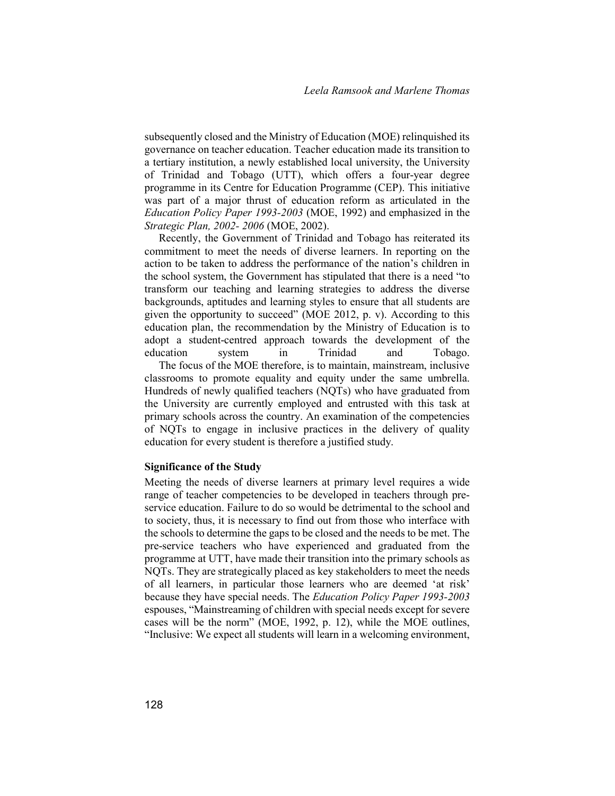subsequently closed and the Ministry of Education (MOE) relinquished its governance on teacher education. Teacher education made its transition to a tertiary institution, a newly established local university, the University of Trinidad and Tobago (UTT), which offers a four-year degree programme in its Centre for Education Programme (CEP). This initiative was part of a major thrust of education reform as articulated in the Education Policy Paper 1993-2003 (MOE, 1992) and emphasized in the Strategic Plan, 2002- 2006 (MOE, 2002).

 Recently, the Government of Trinidad and Tobago has reiterated its commitment to meet the needs of diverse learners. In reporting on the action to be taken to address the performance of the nation's children in the school system, the Government has stipulated that there is a need "to transform our teaching and learning strategies to address the diverse backgrounds, aptitudes and learning styles to ensure that all students are given the opportunity to succeed" (MOE 2012, p. v). According to this education plan, the recommendation by the Ministry of Education is to adopt a student-centred approach towards the development of the education system in Trinidad and Tobago. The focus of the MOE therefore, is to maintain, mainstream, inclusive classrooms to promote equality and equity under the same umbrella. Hundreds of newly qualified teachers (NQTs) who have graduated from the University are currently employed and entrusted with this task at primary schools across the country. An examination of the competencies

of NQTs to engage in inclusive practices in the delivery of quality

education for every student is therefore a justified study.

Significance of the Study

Meeting the needs of diverse learners at primary level requires a wide range of teacher competencies to be developed in teachers through preservice education. Failure to do so would be detrimental to the school and to society, thus, it is necessary to find out from those who interface with the schools to determine the gaps to be closed and the needs to be met. The pre-service teachers who have experienced and graduated from the programme at UTT, have made their transition into the primary schools as NQTs. They are strategically placed as key stakeholders to meet the needs of all learners, in particular those learners who are deemed 'at risk' because they have special needs. The Education Policy Paper 1993-2003 espouses, "Mainstreaming of children with special needs except for severe cases will be the norm" (MOE, 1992, p. 12), while the MOE outlines, "Inclusive: We expect all students will learn in a welcoming environment,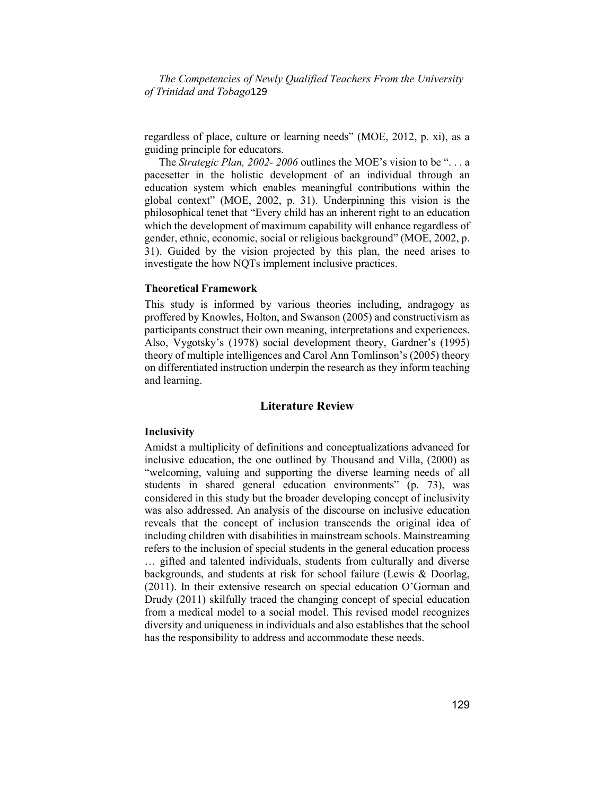regardless of place, culture or learning needs" (MOE, 2012, p. xi), as a guiding principle for educators.

The Strategic Plan, 2002-2006 outlines the MOE's vision to be "... a pacesetter in the holistic development of an individual through an education system which enables meaningful contributions within the global context" (MOE, 2002, p. 31). Underpinning this vision is the philosophical tenet that "Every child has an inherent right to an education which the development of maximum capability will enhance regardless of gender, ethnic, economic, social or religious background" (MOE, 2002, p. 31). Guided by the vision projected by this plan, the need arises to investigate the how NQTs implement inclusive practices.

#### Theoretical Framework

This study is informed by various theories including, andragogy as proffered by Knowles, Holton, and Swanson (2005) and constructivism as participants construct their own meaning, interpretations and experiences. Also, Vygotsky's (1978) social development theory, Gardner's (1995) theory of multiple intelligences and Carol Ann Tomlinson's (2005) theory on differentiated instruction underpin the research as they inform teaching and learning.

## Literature Review

#### **Inclusivity**

Amidst a multiplicity of definitions and conceptualizations advanced for inclusive education, the one outlined by Thousand and Villa, (2000) as "welcoming, valuing and supporting the diverse learning needs of all students in shared general education environments" (p. 73), was considered in this study but the broader developing concept of inclusivity was also addressed. An analysis of the discourse on inclusive education reveals that the concept of inclusion transcends the original idea of including children with disabilities in mainstream schools. Mainstreaming refers to the inclusion of special students in the general education process

… gifted and talented individuals, students from culturally and diverse backgrounds, and students at risk for school failure (Lewis & Doorlag, (2011). In their extensive research on special education O'Gorman and Drudy (2011) skilfully traced the changing concept of special education from a medical model to a social model. This revised model recognizes diversity and uniqueness in individuals and also establishes that the school has the responsibility to address and accommodate these needs.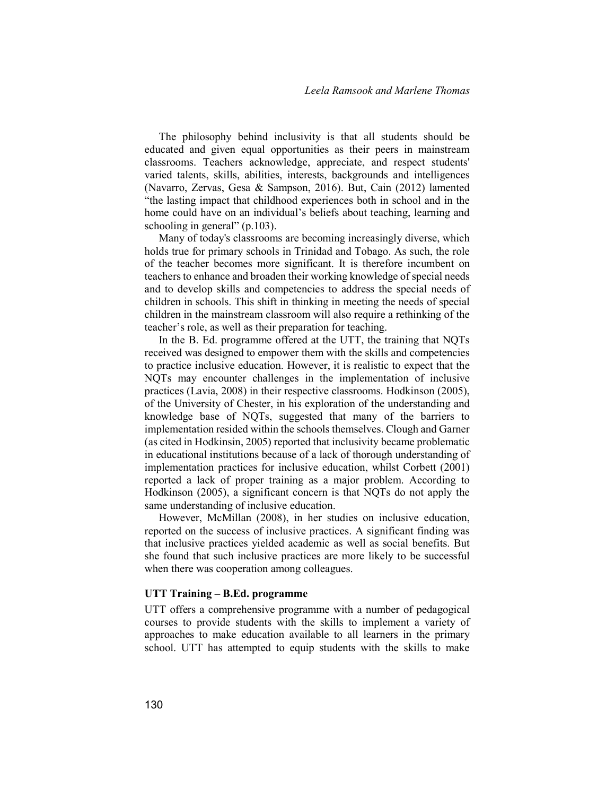The philosophy behind inclusivity is that all students should be educated and given equal opportunities as their peers in mainstream classrooms. Teachers acknowledge, appreciate, and respect students' varied talents, skills, abilities, interests, backgrounds and intelligences (Navarro, Zervas, Gesa & Sampson, 2016). But, Cain (2012) lamented "the lasting impact that childhood experiences both in school and in the home could have on an individual's beliefs about teaching, learning and schooling in general" (p.103).

 Many of today's classrooms are becoming increasingly diverse, which holds true for primary schools in Trinidad and Tobago. As such, the role of the teacher becomes more significant. It is therefore incumbent on teachers to enhance and broaden their working knowledge of special needs and to develop skills and competencies to address the special needs of children in schools. This shift in thinking in meeting the needs of special children in the mainstream classroom will also require a rethinking of the teacher's role, as well as their preparation for teaching.

 In the B. Ed. programme offered at the UTT, the training that NQTs received was designed to empower them with the skills and competencies to practice inclusive education. However, it is realistic to expect that the NQTs may encounter challenges in the implementation of inclusive practices (Lavia, 2008) in their respective classrooms. Hodkinson (2005), of the University of Chester, in his exploration of the understanding and knowledge base of NQTs, suggested that many of the barriers to implementation resided within the schools themselves. Clough and Garner (as cited in Hodkinsin, 2005) reported that inclusivity became problematic in educational institutions because of a lack of thorough understanding of implementation practices for inclusive education, whilst Corbett (2001) reported a lack of proper training as a major problem. According to Hodkinson (2005), a significant concern is that NQTs do not apply the same understanding of inclusive education.

 However, McMillan (2008), in her studies on inclusive education, reported on the success of inclusive practices. A significant finding was that inclusive practices yielded academic as well as social benefits. But she found that such inclusive practices are more likely to be successful when there was cooperation among colleagues.

#### UTT Training – B.Ed. programme

UTT offers a comprehensive programme with a number of pedagogical courses to provide students with the skills to implement a variety of approaches to make education available to all learners in the primary school. UTT has attempted to equip students with the skills to make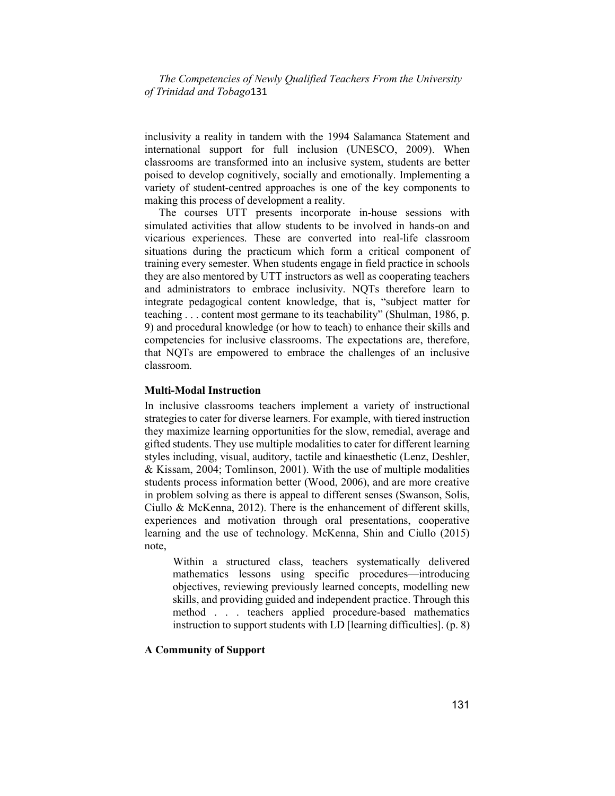inclusivity a reality in tandem with the 1994 Salamanca Statement and international support for full inclusion (UNESCO, 2009). When classrooms are transformed into an inclusive system, students are better poised to develop cognitively, socially and emotionally. Implementing a variety of student-centred approaches is one of the key components to making this process of development a reality.

 The courses UTT presents incorporate in-house sessions with simulated activities that allow students to be involved in hands-on and vicarious experiences. These are converted into real-life classroom situations during the practicum which form a critical component of training every semester. When students engage in field practice in schools they are also mentored by UTT instructors as well as cooperating teachers and administrators to embrace inclusivity. NQTs therefore learn to integrate pedagogical content knowledge, that is, "subject matter for teaching . . . content most germane to its teachability" (Shulman, 1986, p. 9) and procedural knowledge (or how to teach) to enhance their skills and competencies for inclusive classrooms. The expectations are, therefore, that NQTs are empowered to embrace the challenges of an inclusive classroom.

#### Multi-Modal Instruction

In inclusive classrooms teachers implement a variety of instructional strategies to cater for diverse learners. For example, with tiered instruction they maximize learning opportunities for the slow, remedial, average and gifted students. They use multiple modalities to cater for different learning styles including, visual, auditory, tactile and kinaesthetic (Lenz, Deshler, & Kissam, 2004; Tomlinson, 2001). With the use of multiple modalities students process information better (Wood, 2006), and are more creative in problem solving as there is appeal to different senses (Swanson, Solis, Ciullo & McKenna, 2012). There is the enhancement of different skills, experiences and motivation through oral presentations, cooperative learning and the use of technology. McKenna, Shin and Ciullo (2015) note,

 Within a structured class, teachers systematically delivered mathematics lessons using specific procedures—introducing objectives, reviewing previously learned concepts, modelling new skills, and providing guided and independent practice. Through this method . . . teachers applied procedure-based mathematics instruction to support students with LD [learning difficulties]. (p. 8)

#### A Community of Support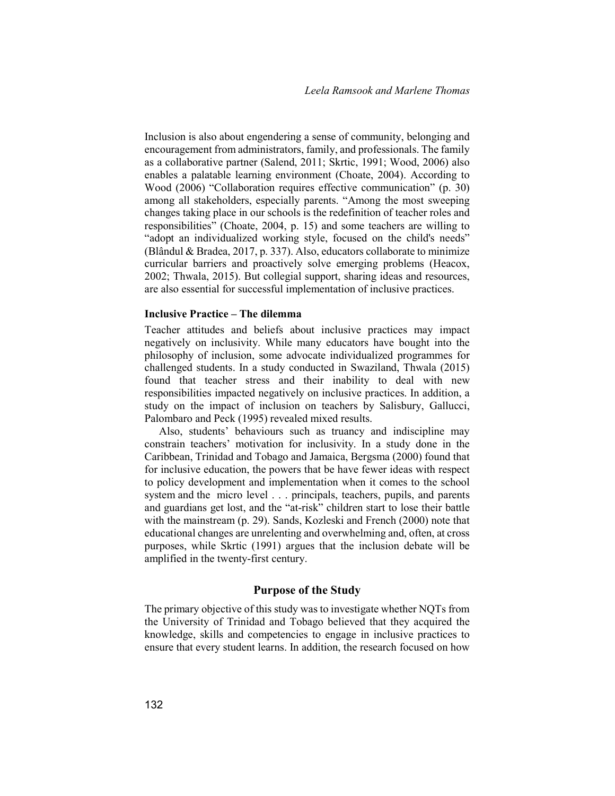Inclusion is also about engendering a sense of community, belonging and encouragement from administrators, family, and professionals. The family as a collaborative partner (Salend, 2011; Skrtic, 1991; Wood, 2006) also enables a palatable learning environment (Choate, 2004). According to Wood (2006) "Collaboration requires effective communication" (p. 30) among all stakeholders, especially parents. "Among the most sweeping changes taking place in our schools is the redefinition of teacher roles and responsibilities" (Choate, 2004, p. 15) and some teachers are willing to "adopt an individualized working style, focused on the child's needs" (Blândul & Bradea, 2017, p. 337). Also, educators collaborate to minimize curricular barriers and proactively solve emerging problems (Heacox, 2002; Thwala, 2015). But collegial support, sharing ideas and resources, are also essential for successful implementation of inclusive practices.

## Inclusive Practice – The dilemma

Teacher attitudes and beliefs about inclusive practices may impact negatively on inclusivity. While many educators have bought into the philosophy of inclusion, some advocate individualized programmes for challenged students. In a study conducted in Swaziland, Thwala (2015) found that teacher stress and their inability to deal with new responsibilities impacted negatively on inclusive practices. In addition, a study on the impact of inclusion on teachers by Salisbury, Gallucci, Palombaro and Peck (1995) revealed mixed results.

Also, students' behaviours such as truancy and indiscipline may constrain teachers' motivation for inclusivity. In a study done in the Caribbean, Trinidad and Tobago and Jamaica, Bergsma (2000) found that for inclusive education, the powers that be have fewer ideas with respect to policy development and implementation when it comes to the school system and the micro level . . . principals, teachers, pupils, and parents and guardians get lost, and the "at-risk" children start to lose their battle with the mainstream (p. 29). Sands, Kozleski and French (2000) note that educational changes are unrelenting and overwhelming and, often, at cross purposes, while Skrtic (1991) argues that the inclusion debate will be amplified in the twenty-first century.

#### Purpose of the Study

The primary objective of this study was to investigate whether NQTs from the University of Trinidad and Tobago believed that they acquired the knowledge, skills and competencies to engage in inclusive practices to ensure that every student learns. In addition, the research focused on how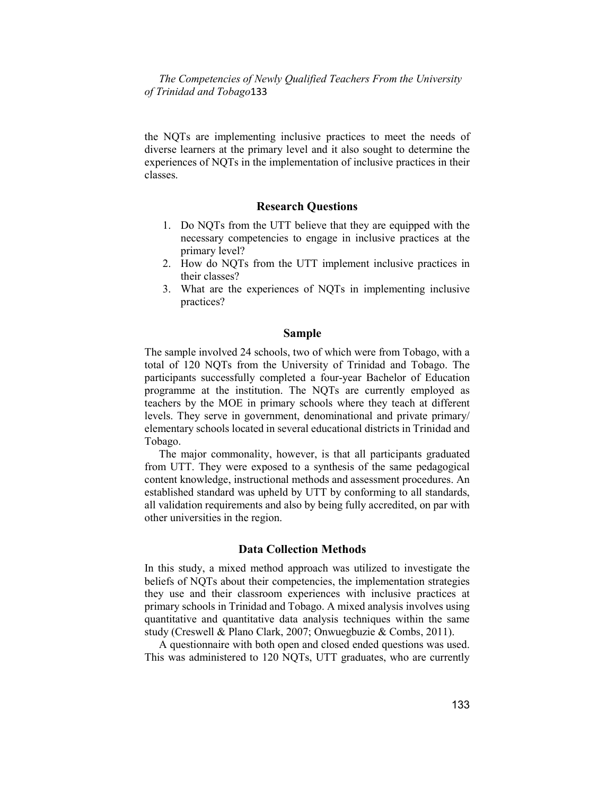the NQTs are implementing inclusive practices to meet the needs of diverse learners at the primary level and it also sought to determine the experiences of NQTs in the implementation of inclusive practices in their classes.

#### Research Questions

- 1. Do NQTs from the UTT believe that they are equipped with the necessary competencies to engage in inclusive practices at the primary level?
- 2. How do NQTs from the UTT implement inclusive practices in their classes?
- 3. What are the experiences of NQTs in implementing inclusive practices?

#### Sample

The sample involved 24 schools, two of which were from Tobago, with a total of 120 NQTs from the University of Trinidad and Tobago. The participants successfully completed a four-year Bachelor of Education programme at the institution. The NQTs are currently employed as teachers by the MOE in primary schools where they teach at different levels. They serve in government, denominational and private primary/ elementary schools located in several educational districts in Trinidad and Tobago.

The major commonality, however, is that all participants graduated from UTT. They were exposed to a synthesis of the same pedagogical content knowledge, instructional methods and assessment procedures. An established standard was upheld by UTT by conforming to all standards, all validation requirements and also by being fully accredited, on par with other universities in the region.

## Data Collection Methods

In this study, a mixed method approach was utilized to investigate the beliefs of NQTs about their competencies, the implementation strategies they use and their classroom experiences with inclusive practices at primary schools in Trinidad and Tobago. A mixed analysis involves using quantitative and quantitative data analysis techniques within the same study (Creswell & Plano Clark, 2007; Onwuegbuzie & Combs, 2011).

A questionnaire with both open and closed ended questions was used. This was administered to 120 NQTs, UTT graduates, who are currently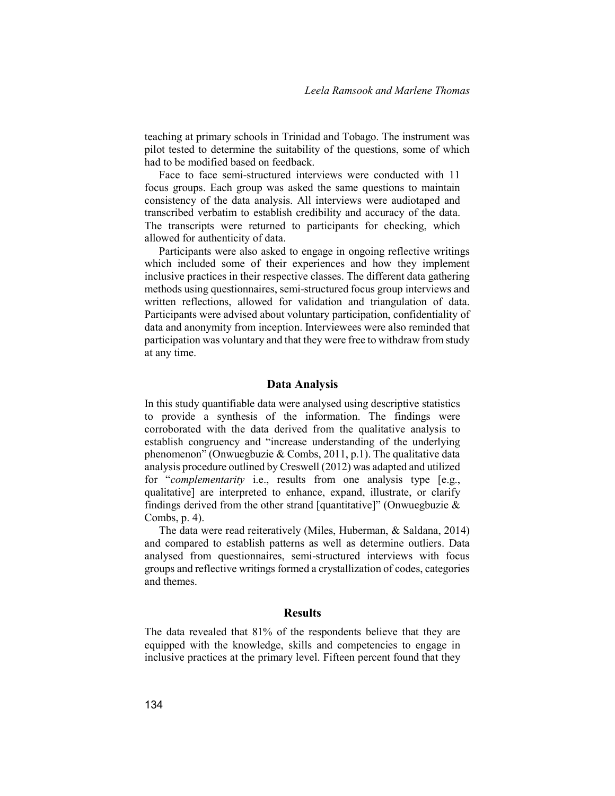teaching at primary schools in Trinidad and Tobago. The instrument was pilot tested to determine the suitability of the questions, some of which had to be modified based on feedback.

Face to face semi-structured interviews were conducted with 11 focus groups. Each group was asked the same questions to maintain consistency of the data analysis. All interviews were audiotaped and transcribed verbatim to establish credibility and accuracy of the data. The transcripts were returned to participants for checking, which allowed for authenticity of data.

Participants were also asked to engage in ongoing reflective writings which included some of their experiences and how they implement inclusive practices in their respective classes. The different data gathering methods using questionnaires, semi-structured focus group interviews and written reflections, allowed for validation and triangulation of data. Participants were advised about voluntary participation, confidentiality of data and anonymity from inception. Interviewees were also reminded that participation was voluntary and that they were free to withdraw from study at any time.

#### Data Analysis

In this study quantifiable data were analysed using descriptive statistics to provide a synthesis of the information. The findings were corroborated with the data derived from the qualitative analysis to establish congruency and "increase understanding of the underlying phenomenon" (Onwuegbuzie & Combs, 2011, p.1). The qualitative data analysis procedure outlined by Creswell (2012) was adapted and utilized for "*complementarity* i.e., results from one analysis type [e.g., qualitative] are interpreted to enhance, expand, illustrate, or clarify findings derived from the other strand [quantitative]" (Onwuegbuzie  $\&$ Combs, p. 4).

The data were read reiteratively (Miles, Huberman, & Saldana, 2014) and compared to establish patterns as well as determine outliers. Data analysed from questionnaires, semi-structured interviews with focus groups and reflective writings formed a crystallization of codes, categories and themes.

#### Results

The data revealed that 81% of the respondents believe that they are equipped with the knowledge, skills and competencies to engage in inclusive practices at the primary level. Fifteen percent found that they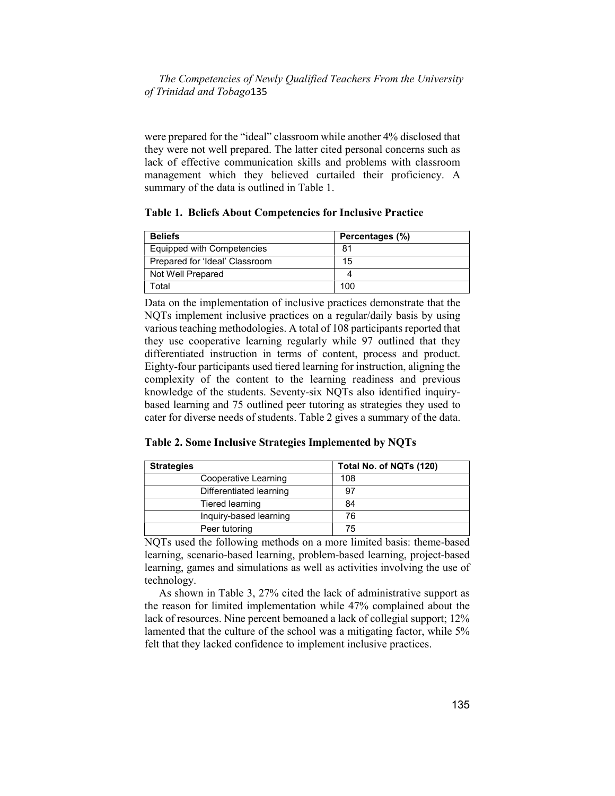were prepared for the "ideal" classroom while another 4% disclosed that they were not well prepared. The latter cited personal concerns such as lack of effective communication skills and problems with classroom management which they believed curtailed their proficiency. A summary of the data is outlined in Table 1.

Table 1. Beliefs About Competencies for Inclusive Practice

| <b>Beliefs</b>                 | Percentages (%) |
|--------------------------------|-----------------|
| Equipped with Competencies     | 81              |
| Prepared for 'Ideal' Classroom | 15              |
| Not Well Prepared              |                 |
| Total                          | 100             |

Data on the implementation of inclusive practices demonstrate that the NQTs implement inclusive practices on a regular/daily basis by using various teaching methodologies. A total of 108 participants reported that they use cooperative learning regularly while 97 outlined that they differentiated instruction in terms of content, process and product. Eighty-four participants used tiered learning for instruction, aligning the complexity of the content to the learning readiness and previous knowledge of the students. Seventy-six NQTs also identified inquirybased learning and 75 outlined peer tutoring as strategies they used to cater for diverse needs of students. Table 2 gives a summary of the data.

Table 2. Some Inclusive Strategies Implemented by NQTs

| <b>Strategies</b>       | Total No. of NQTs (120) |
|-------------------------|-------------------------|
| Cooperative Learning    | 108                     |
| Differentiated learning | .97                     |
| Tiered learning         | 84                      |
| Inquiry-based learning  | 76                      |
| Peer tutoring           | 75                      |

NQTs used the following methods on a more limited basis: theme-based learning, scenario-based learning, problem-based learning, project-based learning, games and simulations as well as activities involving the use of technology.

As shown in Table 3, 27% cited the lack of administrative support as the reason for limited implementation while 47% complained about the lack of resources. Nine percent bemoaned a lack of collegial support; 12% lamented that the culture of the school was a mitigating factor, while 5% felt that they lacked confidence to implement inclusive practices.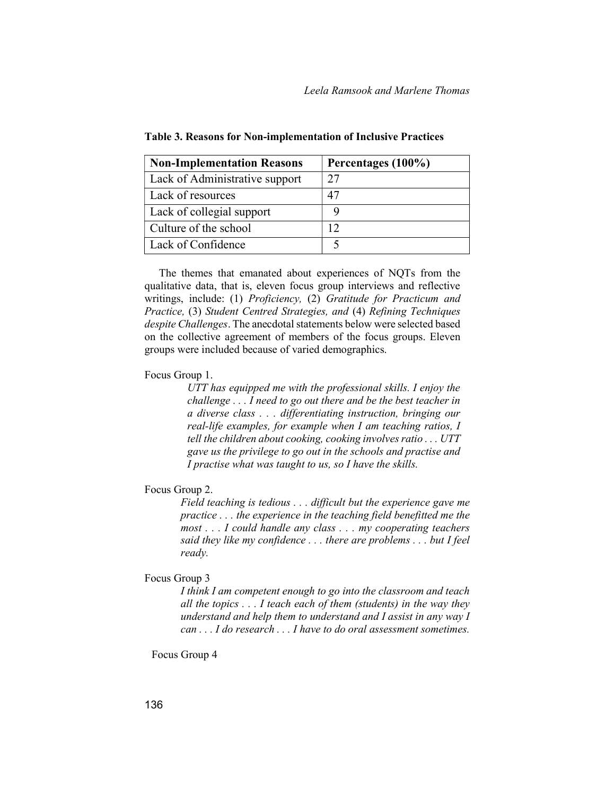| <b>Non-Implementation Reasons</b> | Percentages (100%) |
|-----------------------------------|--------------------|
| Lack of Administrative support    |                    |
| Lack of resources                 |                    |
| Lack of collegial support         |                    |
| Culture of the school             |                    |
| Lack of Confidence                |                    |

Table 3. Reasons for Non-implementation of Inclusive Practices

The themes that emanated about experiences of NQTs from the qualitative data, that is, eleven focus group interviews and reflective writings, include: (1) Proficiency, (2) Gratitude for Practicum and Practice, (3) Student Centred Strategies, and (4) Refining Techniques despite Challenges. The anecdotal statements below were selected based on the collective agreement of members of the focus groups. Eleven groups were included because of varied demographics.

#### Focus Group 1.

UTT has equipped me with the professional skills. I enjoy the challenge . . . I need to go out there and be the best teacher in a diverse class . . . differentiating instruction, bringing our real-life examples, for example when I am teaching ratios, I tell the children about cooking, cooking involves ratio . . . UTT gave us the privilege to go out in the schools and practise and I practise what was taught to us, so I have the skills.

## Focus Group 2.

 Field teaching is tedious . . . difficult but the experience gave me practice . . . the experience in the teaching field benefitted me the most . . . I could handle any class . . . my cooperating teachers said they like my confidence . . . there are problems . . . but I feel ready.

#### Focus Group 3

 I think I am competent enough to go into the classroom and teach all the topics  $\ldots$  I teach each of them (students) in the way they understand and help them to understand and I assist in any way I can . . . I do research . . . I have to do oral assessment sometimes.

Focus Group 4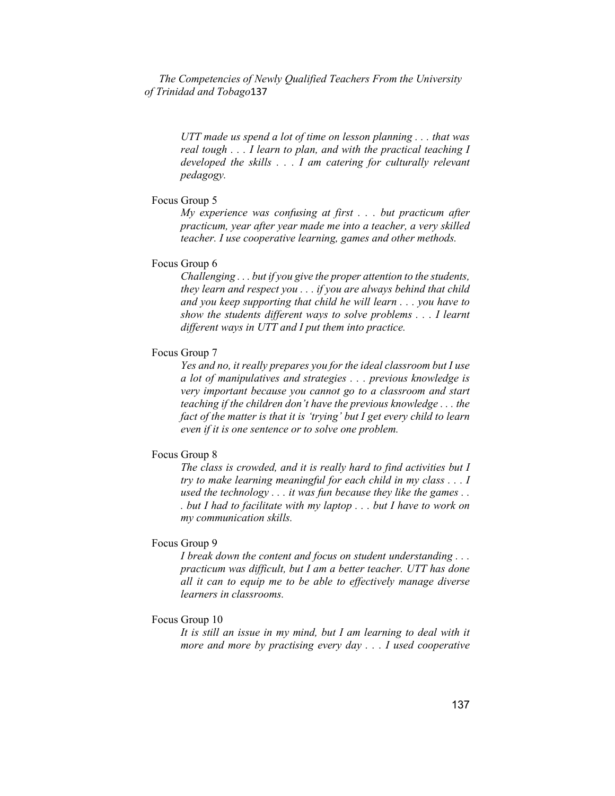> UTT made us spend a lot of time on lesson planning . . . that was real tough . . . I learn to plan, and with the practical teaching I developed the skills . . . I am catering for culturally relevant pedagogy.

## Focus Group 5

My experience was confusing at first . . . but practicum after practicum, year after year made me into a teacher, a very skilled teacher. I use cooperative learning, games and other methods.

#### Focus Group 6

 Challenging . . . but if you give the proper attention to the students, they learn and respect you . . . if you are always behind that child and you keep supporting that child he will learn . . . you have to show the students different ways to solve problems . . . I learnt different ways in UTT and I put them into practice.

## Focus Group 7

 Yes and no, it really prepares you for the ideal classroom but I use a lot of manipulatives and strategies . . . previous knowledge is very important because you cannot go to a classroom and start teaching if the children don't have the previous knowledge . . . the fact of the matter is that it is 'trying' but I get every child to learn even if it is one sentence or to solve one problem.

# Focus Group 8

 The class is crowded, and it is really hard to find activities but I try to make learning meaningful for each child in my class . . . I used the technology  $\ldots$  it was fun because they like the games  $\ldots$ . but I had to facilitate with my laptop . . . but I have to work on my communication skills.

## Focus Group 9

 I break down the content and focus on student understanding . . . practicum was difficult, but I am a better teacher. UTT has done all it can to equip me to be able to effectively manage diverse learners in classrooms.

### Focus Group 10

 It is still an issue in my mind, but I am learning to deal with it more and more by practising every day . . . I used cooperative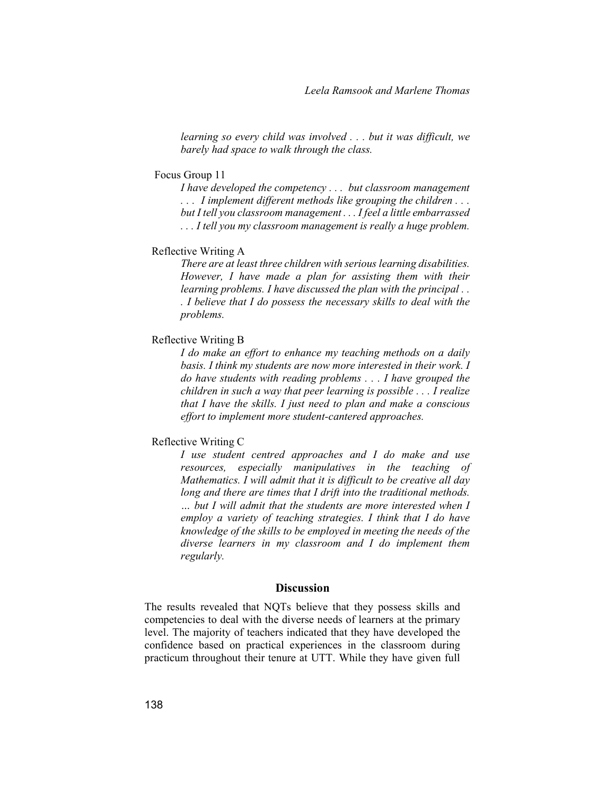learning so every child was involved . . . but it was difficult, we barely had space to walk through the class.

#### Focus Group 11

I have developed the competency . . . but classroom management . . . I implement different methods like grouping the children . . . but I tell you classroom management . . . I feel a little embarrassed ... I tell you my classroom management is really a huge problem.

## Reflective Writing A

 There are at least three children with serious learning disabilities. However, I have made a plan for assisting them with their learning problems. I have discussed the plan with the principal ... . I believe that I do possess the necessary skills to deal with the problems.

### Reflective Writing B

 I do make an effort to enhance my teaching methods on a daily basis. I think my students are now more interested in their work. I do have students with reading problems . . . I have grouped the children in such a way that peer learning is possible . . . I realize that I have the skills. I just need to plan and make a conscious effort to implement more student-cantered approaches.

# Reflective Writing C

 I use student centred approaches and I do make and use resources, especially manipulatives in the teaching of Mathematics. I will admit that it is difficult to be creative all day long and there are times that I drift into the traditional methods. … but I will admit that the students are more interested when I employ a variety of teaching strategies. I think that I do have knowledge of the skills to be employed in meeting the needs of the diverse learners in my classroom and I do implement them regularly.

## **Discussion**

The results revealed that NQTs believe that they possess skills and competencies to deal with the diverse needs of learners at the primary level. The majority of teachers indicated that they have developed the confidence based on practical experiences in the classroom during practicum throughout their tenure at UTT. While they have given full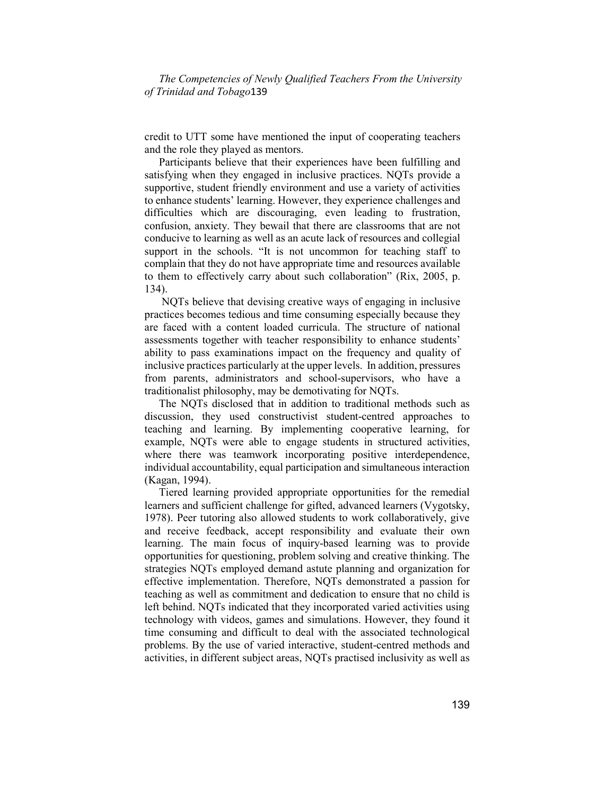credit to UTT some have mentioned the input of cooperating teachers and the role they played as mentors.

Participants believe that their experiences have been fulfilling and satisfying when they engaged in inclusive practices. NQTs provide a supportive, student friendly environment and use a variety of activities to enhance students' learning. However, they experience challenges and difficulties which are discouraging, even leading to frustration, confusion, anxiety. They bewail that there are classrooms that are not conducive to learning as well as an acute lack of resources and collegial support in the schools. "It is not uncommon for teaching staff to complain that they do not have appropriate time and resources available to them to effectively carry about such collaboration" (Rix, 2005, p. 134).

 NQTs believe that devising creative ways of engaging in inclusive practices becomes tedious and time consuming especially because they are faced with a content loaded curricula. The structure of national assessments together with teacher responsibility to enhance students' ability to pass examinations impact on the frequency and quality of inclusive practices particularly at the upper levels. In addition, pressures from parents, administrators and school-supervisors, who have a traditionalist philosophy, may be demotivating for NQTs.

The NQTs disclosed that in addition to traditional methods such as discussion, they used constructivist student-centred approaches to teaching and learning. By implementing cooperative learning, for example, NQTs were able to engage students in structured activities, where there was teamwork incorporating positive interdependence, individual accountability, equal participation and simultaneous interaction (Kagan, 1994).

Tiered learning provided appropriate opportunities for the remedial learners and sufficient challenge for gifted, advanced learners (Vygotsky, 1978). Peer tutoring also allowed students to work collaboratively, give and receive feedback, accept responsibility and evaluate their own learning. The main focus of inquiry-based learning was to provide opportunities for questioning, problem solving and creative thinking. The strategies NQTs employed demand astute planning and organization for effective implementation. Therefore, NQTs demonstrated a passion for teaching as well as commitment and dedication to ensure that no child is left behind. NQTs indicated that they incorporated varied activities using technology with videos, games and simulations. However, they found it time consuming and difficult to deal with the associated technological problems. By the use of varied interactive, student-centred methods and activities, in different subject areas, NQTs practised inclusivity as well as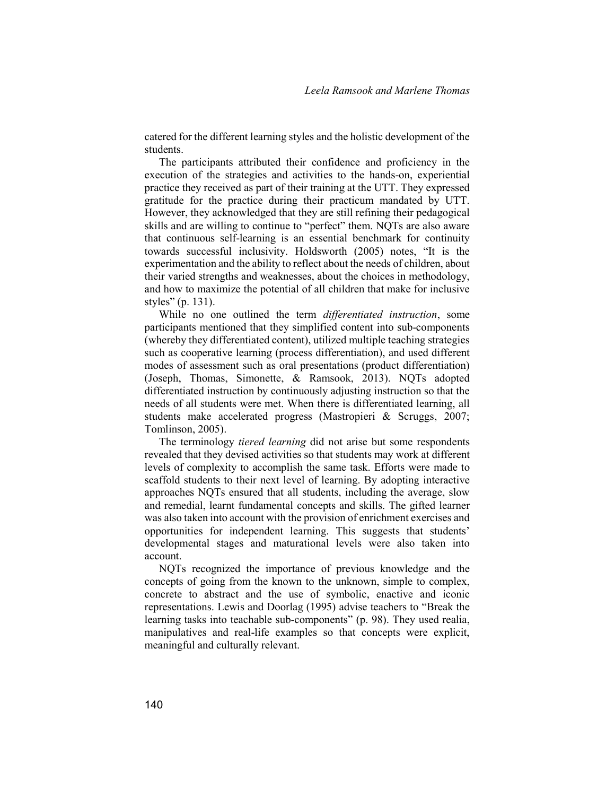catered for the different learning styles and the holistic development of the students.

The participants attributed their confidence and proficiency in the execution of the strategies and activities to the hands-on, experiential practice they received as part of their training at the UTT. They expressed gratitude for the practice during their practicum mandated by UTT. However, they acknowledged that they are still refining their pedagogical skills and are willing to continue to "perfect" them. NQTs are also aware that continuous self-learning is an essential benchmark for continuity towards successful inclusivity. Holdsworth (2005) notes, "It is the experimentation and the ability to reflect about the needs of children, about their varied strengths and weaknesses, about the choices in methodology, and how to maximize the potential of all children that make for inclusive styles" (p. 131).

While no one outlined the term *differentiated instruction*, some participants mentioned that they simplified content into sub-components (whereby they differentiated content), utilized multiple teaching strategies such as cooperative learning (process differentiation), and used different modes of assessment such as oral presentations (product differentiation) (Joseph, Thomas, Simonette, & Ramsook, 2013). NQTs adopted differentiated instruction by continuously adjusting instruction so that the needs of all students were met. When there is differentiated learning, all students make accelerated progress (Mastropieri & Scruggs, 2007; Tomlinson, 2005).

The terminology tiered learning did not arise but some respondents revealed that they devised activities so that students may work at different levels of complexity to accomplish the same task. Efforts were made to scaffold students to their next level of learning. By adopting interactive approaches NQTs ensured that all students, including the average, slow and remedial, learnt fundamental concepts and skills. The gifted learner was also taken into account with the provision of enrichment exercises and opportunities for independent learning. This suggests that students' developmental stages and maturational levels were also taken into account.

NQTs recognized the importance of previous knowledge and the concepts of going from the known to the unknown, simple to complex, concrete to abstract and the use of symbolic, enactive and iconic representations. Lewis and Doorlag (1995) advise teachers to "Break the learning tasks into teachable sub-components" (p. 98). They used realia, manipulatives and real-life examples so that concepts were explicit, meaningful and culturally relevant.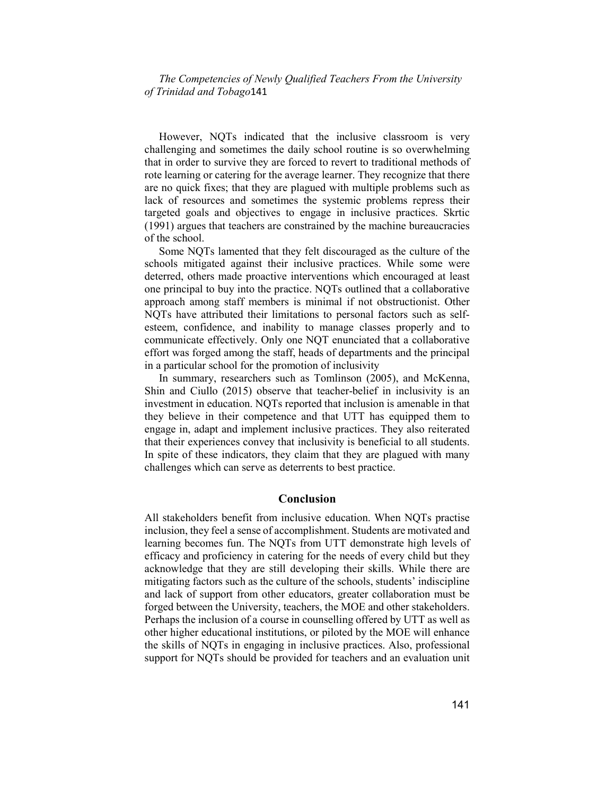However, NQTs indicated that the inclusive classroom is very challenging and sometimes the daily school routine is so overwhelming that in order to survive they are forced to revert to traditional methods of rote learning or catering for the average learner. They recognize that there are no quick fixes; that they are plagued with multiple problems such as lack of resources and sometimes the systemic problems repress their targeted goals and objectives to engage in inclusive practices. Skrtic (1991) argues that teachers are constrained by the machine bureaucracies of the school.

Some NQTs lamented that they felt discouraged as the culture of the schools mitigated against their inclusive practices. While some were deterred, others made proactive interventions which encouraged at least one principal to buy into the practice. NQTs outlined that a collaborative approach among staff members is minimal if not obstructionist. Other NQTs have attributed their limitations to personal factors such as selfesteem, confidence, and inability to manage classes properly and to communicate effectively. Only one NQT enunciated that a collaborative effort was forged among the staff, heads of departments and the principal in a particular school for the promotion of inclusivity

In summary, researchers such as Tomlinson (2005), and McKenna, Shin and Ciullo (2015) observe that teacher-belief in inclusivity is an investment in education. NQTs reported that inclusion is amenable in that they believe in their competence and that UTT has equipped them to engage in, adapt and implement inclusive practices. They also reiterated that their experiences convey that inclusivity is beneficial to all students. In spite of these indicators, they claim that they are plagued with many challenges which can serve as deterrents to best practice.

## Conclusion

All stakeholders benefit from inclusive education. When NQTs practise inclusion, they feel a sense of accomplishment. Students are motivated and learning becomes fun. The NQTs from UTT demonstrate high levels of efficacy and proficiency in catering for the needs of every child but they acknowledge that they are still developing their skills. While there are mitigating factors such as the culture of the schools, students' indiscipline and lack of support from other educators, greater collaboration must be forged between the University, teachers, the MOE and other stakeholders. Perhaps the inclusion of a course in counselling offered by UTT as well as other higher educational institutions, or piloted by the MOE will enhance the skills of NQTs in engaging in inclusive practices. Also, professional support for NQTs should be provided for teachers and an evaluation unit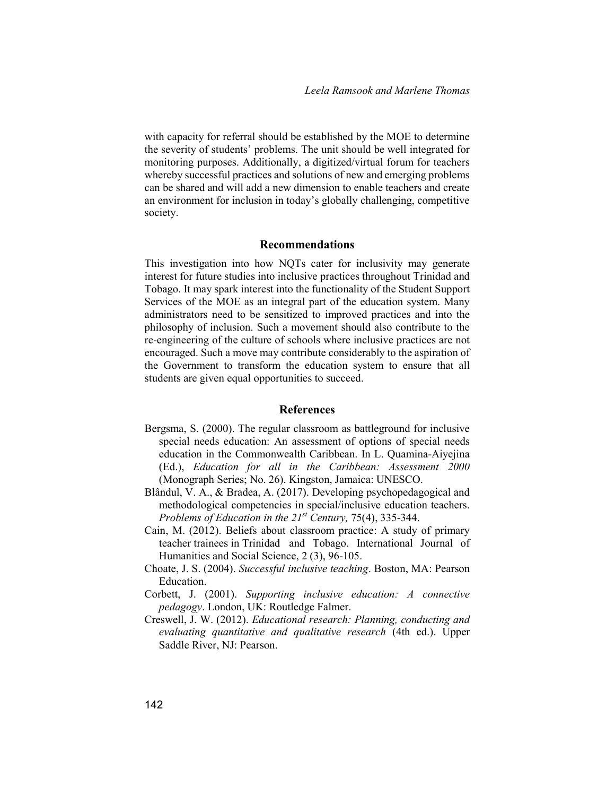with capacity for referral should be established by the MOE to determine the severity of students' problems. The unit should be well integrated for monitoring purposes. Additionally, a digitized/virtual forum for teachers whereby successful practices and solutions of new and emerging problems can be shared and will add a new dimension to enable teachers and create an environment for inclusion in today's globally challenging, competitive society.

## Recommendations

This investigation into how NQTs cater for inclusivity may generate interest for future studies into inclusive practices throughout Trinidad and Tobago. It may spark interest into the functionality of the Student Support Services of the MOE as an integral part of the education system. Many administrators need to be sensitized to improved practices and into the philosophy of inclusion. Such a movement should also contribute to the re-engineering of the culture of schools where inclusive practices are not encouraged. Such a move may contribute considerably to the aspiration of the Government to transform the education system to ensure that all students are given equal opportunities to succeed.

## References

- Bergsma, S. (2000). The regular classroom as battleground for inclusive special needs education: An assessment of options of special needs education in the Commonwealth Caribbean. In L. Quamina-Aiyejina (Ed.), Education for all in the Caribbean: Assessment 2000 (Monograph Series; No. 26). Kingston, Jamaica: UNESCO.
- Blândul, V. A., & Bradea, A. (2017). Developing psychopedagogical and methodological competencies in special/inclusive education teachers. Problems of Education in the  $21^{st}$  Century, 75(4), 335-344.
- Cain, M. (2012). Beliefs about classroom practice: A study of primary teacher trainees in Trinidad and Tobago. International Journal of Humanities and Social Science, 2 (3), 96-105.
- Choate, J. S. (2004). Successful inclusive teaching. Boston, MA: Pearson Education.
- Corbett, J. (2001). Supporting inclusive education: A connective pedagogy. London, UK: Routledge Falmer.
- Creswell, J. W. (2012). Educational research: Planning, conducting and evaluating quantitative and qualitative research (4th ed.). Upper Saddle River, NJ: Pearson.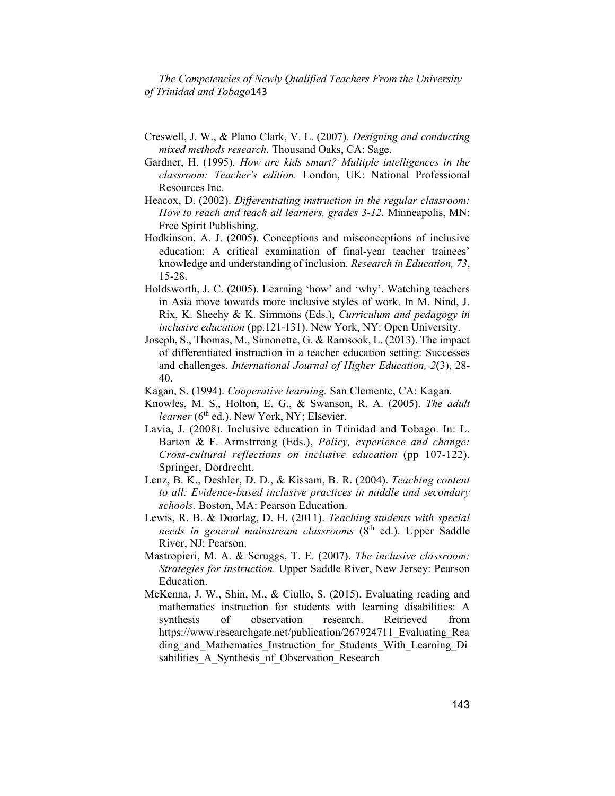- Creswell, J. W., & Plano Clark, V. L. (2007). Designing and conducting mixed methods research. Thousand Oaks, CA: Sage.
- Gardner, H. (1995). How are kids smart? Multiple intelligences in the classroom: Teacher's edition. London, UK: National Professional Resources Inc.
- Heacox, D. (2002). Differentiating instruction in the regular classroom: How to reach and teach all learners, grades 3-12. Minneapolis, MN: Free Spirit Publishing.
- Hodkinson, A. J. (2005). Conceptions and misconceptions of inclusive education: A critical examination of final-year teacher trainees' knowledge and understanding of inclusion. Research in Education, 73, 15-28.
- Holdsworth, J. C. (2005). Learning 'how' and 'why'. Watching teachers in Asia move towards more inclusive styles of work. In M. Nind, J. Rix, K. Sheehy & K. Simmons (Eds.), Curriculum and pedagogy in inclusive education (pp.121-131). New York, NY: Open University.
- Joseph, S., Thomas, M., Simonette, G. & Ramsook, L. (2013). The impact of differentiated instruction in a teacher education setting: Successes and challenges. International Journal of Higher Education, 2(3), 28- 40.
- Kagan, S. (1994). Cooperative learning. San Clemente, CA: Kagan.
- Knowles, M. S., Holton, E. G., & Swanson, R. A. (2005). The adult *learner* ( $6<sup>th</sup>$  ed.). New York, NY; Elsevier.
- Lavia, J. (2008). Inclusive education in Trinidad and Tobago. In: L. Barton & F. Armstrrong (Eds.), Policy, experience and change: Cross-cultural reflections on inclusive education (pp 107-122). Springer, Dordrecht.
- Lenz, B. K., Deshler, D. D., & Kissam, B. R. (2004). Teaching content to all: Evidence-based inclusive practices in middle and secondary schools. Boston, MA: Pearson Education.
- Lewis, R. B. & Doorlag, D. H. (2011). Teaching students with special needs in general mainstream classrooms  $(8<sup>th</sup>$  ed.). Upper Saddle River, NJ: Pearson.
- Mastropieri, M. A. & Scruggs, T. E. (2007). The inclusive classroom: Strategies for instruction. Upper Saddle River, New Jersey: Pearson Education.
- McKenna, J. W., Shin, M., & Ciullo, S. (2015). Evaluating reading and mathematics instruction for students with learning disabilities: A synthesis of observation research. Retrieved from https://www.researchgate.net/publication/267924711\_Evaluating\_Rea ding\_and\_Mathematics\_Instruction\_for\_Students\_With\_Learning\_Di sabilities A Synthesis of Observation Research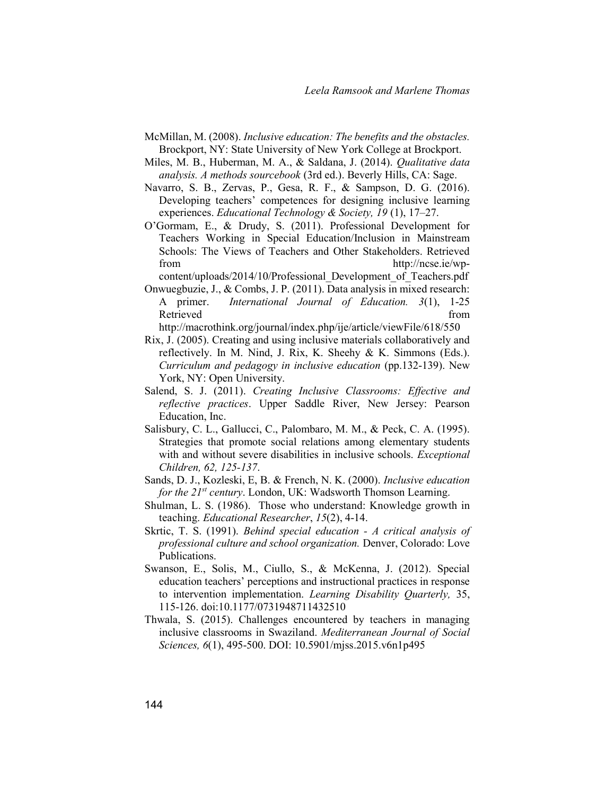- McMillan, M. (2008). Inclusive education: The benefits and the obstacles. Brockport, NY: State University of New York College at Brockport.
- Miles, M. B., Huberman, M. A., & Saldana, J. (2014). Qualitative data analysis. A methods sourcebook (3rd ed.). Beverly Hills, CA: Sage.
- Navarro, S. B., Zervas, P., Gesa, R. F., & Sampson, D. G. (2016). Developing teachers' competences for designing inclusive learning experiences. Educational Technology & Society, 19 (1), 17–27.
- O'Gormam, E., & Drudy, S. (2011). Professional Development for Teachers Working in Special Education/Inclusion in Mainstream Schools: The Views of Teachers and Other Stakeholders. Retrieved from http://ncse.ie/wp-

content/uploads/2014/10/Professional\_Development\_of\_Teachers.pdf Onwuegbuzie, J., & Combs, J. P. (2011). Data analysis in mixed research: A primer. International Journal of Education. 3(1), 1-25 Retrieved from

http://macrothink.org/journal/index.php/ije/article/viewFile/618/550

- Rix, J. (2005). Creating and using inclusive materials collaboratively and reflectively. In M. Nind, J. Rix, K. Sheehy & K. Simmons (Eds.). Curriculum and pedagogy in inclusive education (pp.132-139). New York, NY: Open University.
- Salend, S. J. (2011). Creating Inclusive Classrooms: Effective and reflective practices. Upper Saddle River, New Jersey: Pearson Education, Inc.
- Salisbury, C. L., Gallucci, C., Palombaro, M. M., & Peck, C. A. (1995). Strategies that promote social relations among elementary students with and without severe disabilities in inclusive schools. *Exceptional* Children, 62, 125-137.
- Sands, D. J., Kozleski, E, B. & French, N. K. (2000). Inclusive education for the  $21^{st}$  century. London, UK: Wadsworth Thomson Learning.
- Shulman, L. S. (1986). Those who understand: Knowledge growth in teaching. Educational Researcher, 15(2), 4-14.
- Skrtic, T. S. (1991). Behind special education A critical analysis of professional culture and school organization. Denver, Colorado: Love Publications.
- Swanson, E., Solis, M., Ciullo, S., & McKenna, J. (2012). Special education teachers' perceptions and instructional practices in response to intervention implementation. Learning Disability Quarterly, 35, 115-126. doi:10.1177/0731948711432510
- Thwala, S. (2015). Challenges encountered by teachers in managing inclusive classrooms in Swaziland. Mediterranean Journal of Social Sciences, 6(1), 495-500. DOI: 10.5901/mjss.2015.v6n1p495